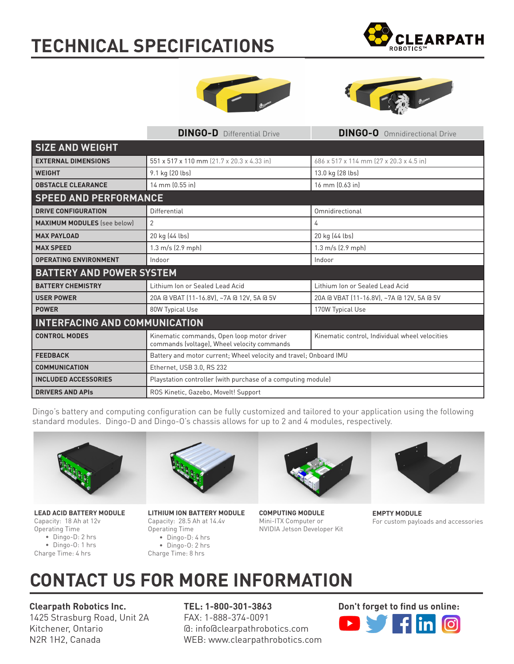## **TECHNICAL SPECIFICATIONS**







|                                      | <b>DINGO-D</b> Differential Drive                                                         | <b>DINGO-O</b> Omnidirectional Drive           |
|--------------------------------------|-------------------------------------------------------------------------------------------|------------------------------------------------|
| <b>SIZE AND WEIGHT</b>               |                                                                                           |                                                |
| <b>EXTERNAL DIMENSIONS</b>           | 551 x 517 x 110 mm (21.7 x 20.3 x 4.33 in)                                                | 686 x 517 x 114 mm (27 x 20.3 x 4.5 in)        |
| <b>WEIGHT</b>                        | 9.1 kg (20 lbs)                                                                           | 13.0 kg (28 lbs)                               |
| <b>OBSTACLE CLEARANCE</b>            | 14 mm (0.55 in)                                                                           | 16 mm (0.63 in)                                |
| <b>SPEED AND PERFORMANCE</b>         |                                                                                           |                                                |
| <b>DRIVE CONFIGURATION</b>           | Differential                                                                              | Omnidirectional                                |
| <b>MAXIMUM MODULES</b> (see below)   | $\overline{2}$                                                                            | 4                                              |
| <b>MAX PAYLOAD</b>                   | 20 kg (44 lbs)                                                                            | 20 kg (44 lbs)                                 |
| <b>MAX SPEED</b>                     | $1.3 \text{ m/s}$ (2.9 mph)                                                               | 1.3 m/s (2.9 mph)                              |
| <b>OPERATING ENVIRONMENT</b>         | Indoor                                                                                    | Indoor                                         |
| <b>BATTERY AND POWER SYSTEM</b>      |                                                                                           |                                                |
| <b>BATTERY CHEMISTRY</b>             | Lithium Ion or Sealed Lead Acid                                                           | Lithium Ion or Sealed Lead Acid                |
| <b>USER POWER</b>                    | 20A @ VBAT (11-16.8V), ~7A @ 12V, 5A @ 5V                                                 | 20A @ VBAT (11-16.8V), ~7A @ 12V, 5A @ 5V      |
| <b>POWER</b>                         | 80W Typical Use                                                                           | 170W Typical Use                               |
| <b>INTERFACING AND COMMUNICATION</b> |                                                                                           |                                                |
| <b>CONTROL MODES</b>                 | Kinematic commands, Open loop motor driver<br>commands (voltage), Wheel velocity commands | Kinematic control, Individual wheel velocities |
| <b>FEEDBACK</b>                      | Battery and motor current; Wheel velocity and travel; Onboard IMU                         |                                                |
| <b>COMMUNICATION</b>                 | Ethernet, USB 3.0, RS 232                                                                 |                                                |
| <b>INCLUDED ACCESSORIES</b>          | Playstation controller (with purchase of a computing module)                              |                                                |
| <b>DRIVERS AND APIS</b>              | ROS Kinetic, Gazebo, Movelt! Support                                                      |                                                |

Dingo's battery and computing configuration can be fully customized and tailored to your application using the following standard modules. Dingo-D and Dingo-O's chassis allows for up to 2 and 4 modules, respectively.



**LEAD ACID BATTERY MODULE** Capacity: 18 Ah at 12v Operating Time • Dingo-D: 2 hrs • Dingo-O: 1 hrs Charge Time: 4 hrs



**LITHIUM ION BATTERY MODULE** Capacity: 28.5 Ah at 14.4v Operating Time • Dingo-D: 4 hrs • Dingo-O: 2 hrs Charge Time: 8 hrs



**COMPUTING MODULE** Mini-ITX Computer or NVIDIA Jetson Developer Kit



**EMPTY MODULE** For custom payloads and accessories

### **CONTACT US FOR MORE INFORMATION**

**Clearpath Robotics Inc.** 1425 Strasburg Road, Unit 2A Kitchener, Ontario N2R 1H2, Canada

**TEL: 1-800-301-3863** FAX: 1-888-374-0091 @: info@clearpathrobotics.com WEB: www.clearpathrobotics.com